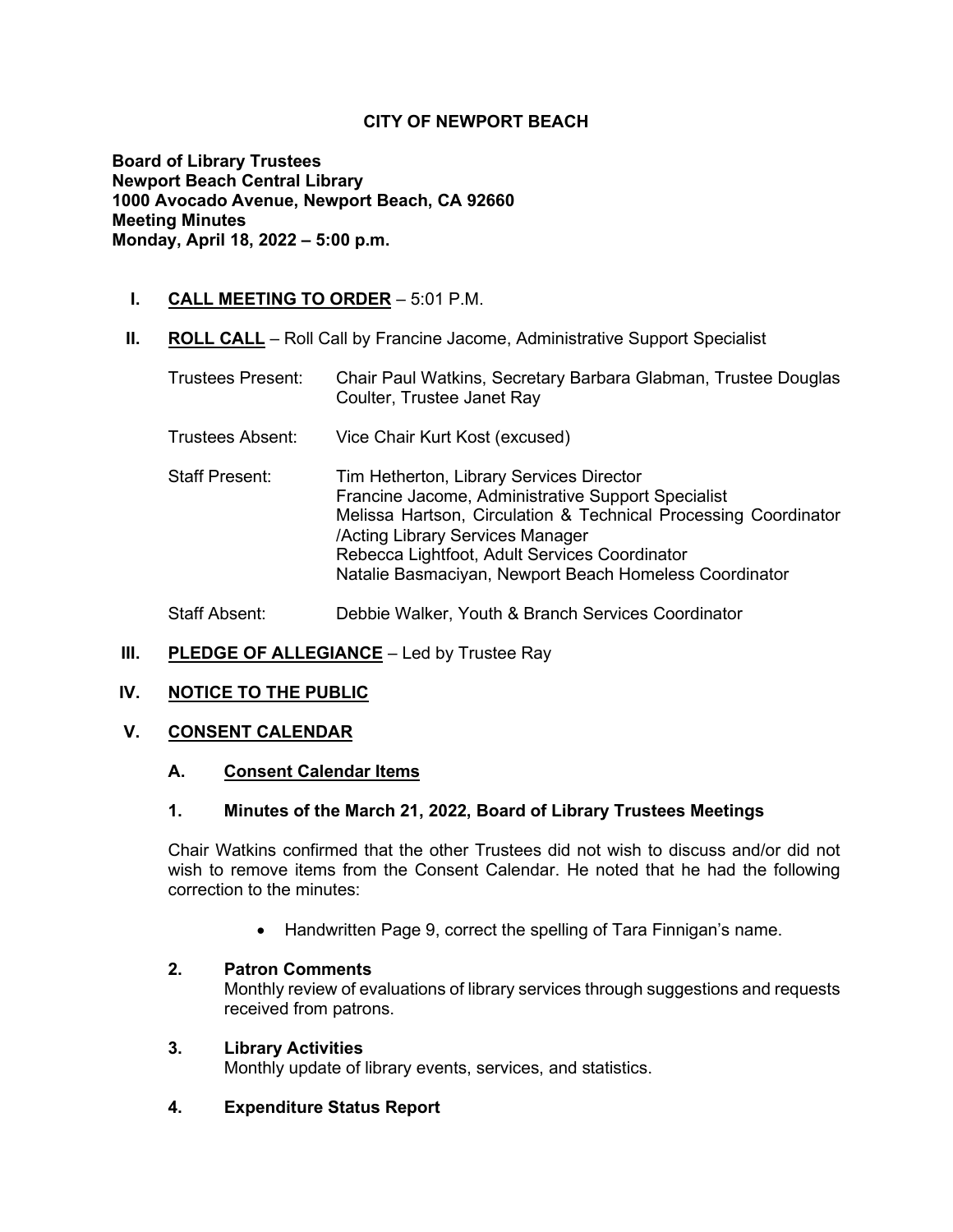# **CITY OF NEWPORT BEACH**

**Board of Library Trustees Newport Beach Central Library 1000 Avocado Avenue, Newport Beach, CA 92660 Meeting Minutes Monday, April 18, 2022 – 5:00 p.m.**

# **I. CALL MEETING TO ORDER** – 5:01 P.M.

**II. ROLL CALL** – Roll Call by Francine Jacome, Administrative Support Specialist

| <b>Trustees Present:</b> | Chair Paul Watkins, Secretary Barbara Glabman, Trustee Douglas<br>Coulter, Trustee Janet Ray                                                                                                                                                                                                                     |
|--------------------------|------------------------------------------------------------------------------------------------------------------------------------------------------------------------------------------------------------------------------------------------------------------------------------------------------------------|
| Trustees Absent:         | Vice Chair Kurt Kost (excused)                                                                                                                                                                                                                                                                                   |
| <b>Staff Present:</b>    | Tim Hetherton, Library Services Director<br>Francine Jacome, Administrative Support Specialist<br>Melissa Hartson, Circulation & Technical Processing Coordinator<br>/Acting Library Services Manager<br>Rebecca Lightfoot, Adult Services Coordinator<br>Natalie Basmaciyan, Newport Beach Homeless Coordinator |
| <b>Staff Absent:</b>     | Debbie Walker, Youth & Branch Services Coordinator                                                                                                                                                                                                                                                               |

# **III.** PLEDGE OF ALLEGIANCE – Led by Trustee Ray

## **IV. NOTICE TO THE PUBLIC**

## **V. CONSENT CALENDAR**

## **A. Consent Calendar Items**

## **1. Minutes of the March 21, 2022, Board of Library Trustees Meetings**

Chair Watkins confirmed that the other Trustees did not wish to discuss and/or did not wish to remove items from the Consent Calendar. He noted that he had the following correction to the minutes:

• Handwritten Page 9, correct the spelling of Tara Finnigan's name.

## **2. Patron Comments**

Monthly review of evaluations of library services through suggestions and requests received from patrons.

## **3. Library Activities**

Monthly update of library events, services, and statistics.

## **4. Expenditure Status Report**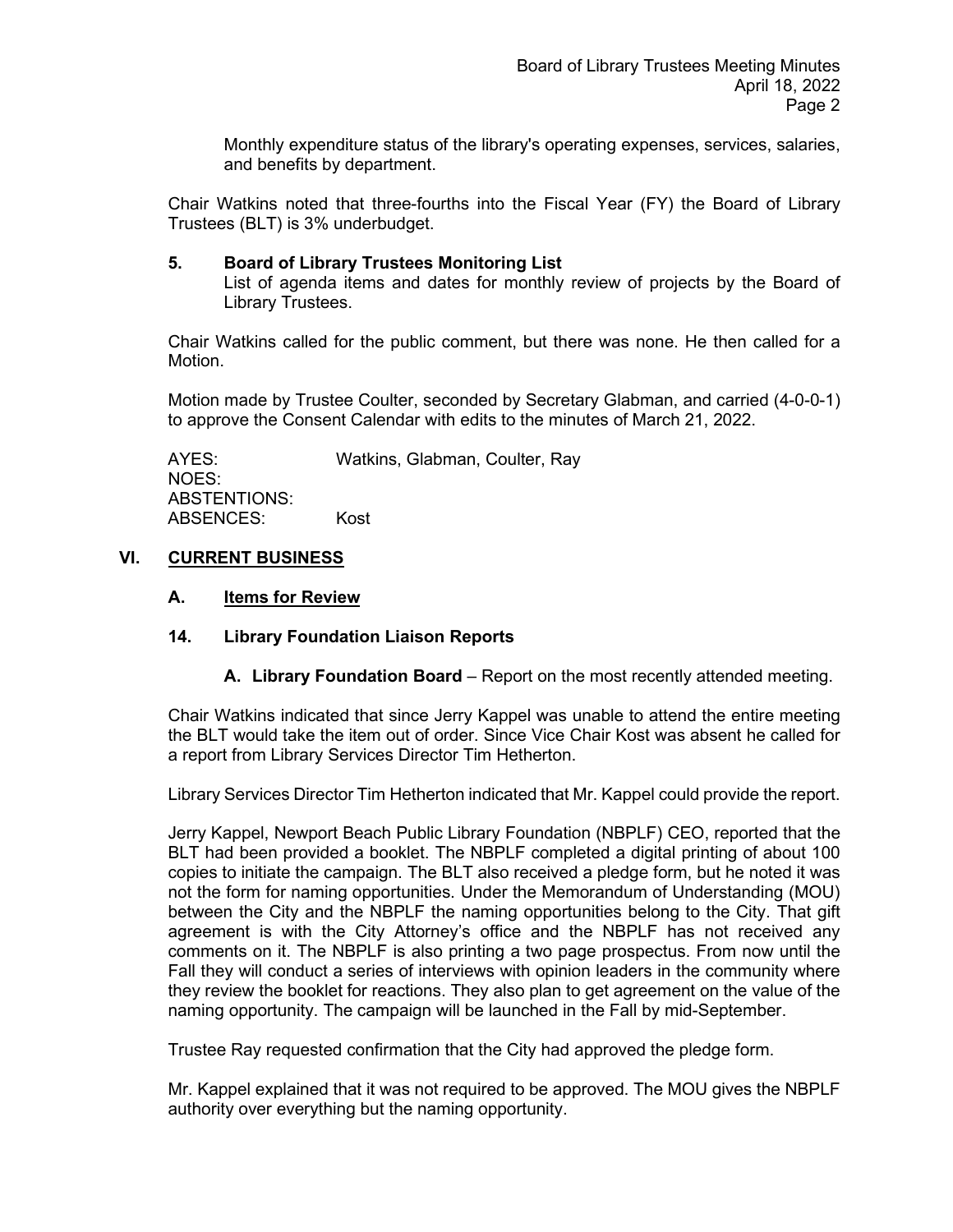Monthly expenditure status of the library's operating expenses, services, salaries, and benefits by department.

Chair Watkins noted that three-fourths into the Fiscal Year (FY) the Board of Library Trustees (BLT) is 3% underbudget.

### **5. Board of Library Trustees Monitoring List**

List of agenda items and dates for monthly review of projects by the Board of Library Trustees.

Chair Watkins called for the public comment, but there was none. He then called for a Motion.

Motion made by Trustee Coulter, seconded by Secretary Glabman, and carried (4-0-0-1) to approve the Consent Calendar with edits to the minutes of March 21, 2022.

AYES: Watkins, Glabman, Coulter, Ray NOES: ABSTENTIONS: ABSENCES: Kost

## **VI. CURRENT BUSINESS**

### **A. Items for Review**

## **14. Library Foundation Liaison Reports**

**A. Library Foundation Board** – Report on the most recently attended meeting.

Chair Watkins indicated that since Jerry Kappel was unable to attend the entire meeting the BLT would take the item out of order. Since Vice Chair Kost was absent he called for a report from Library Services Director Tim Hetherton.

Library Services Director Tim Hetherton indicated that Mr. Kappel could provide the report.

Jerry Kappel, Newport Beach Public Library Foundation (NBPLF) CEO, reported that the BLT had been provided a booklet. The NBPLF completed a digital printing of about 100 copies to initiate the campaign. The BLT also received a pledge form, but he noted it was not the form for naming opportunities. Under the Memorandum of Understanding (MOU) between the City and the NBPLF the naming opportunities belong to the City. That gift agreement is with the City Attorney's office and the NBPLF has not received any comments on it. The NBPLF is also printing a two page prospectus. From now until the Fall they will conduct a series of interviews with opinion leaders in the community where they review the booklet for reactions. They also plan to get agreement on the value of the naming opportunity. The campaign will be launched in the Fall by mid-September.

Trustee Ray requested confirmation that the City had approved the pledge form.

Mr. Kappel explained that it was not required to be approved. The MOU gives the NBPLF authority over everything but the naming opportunity.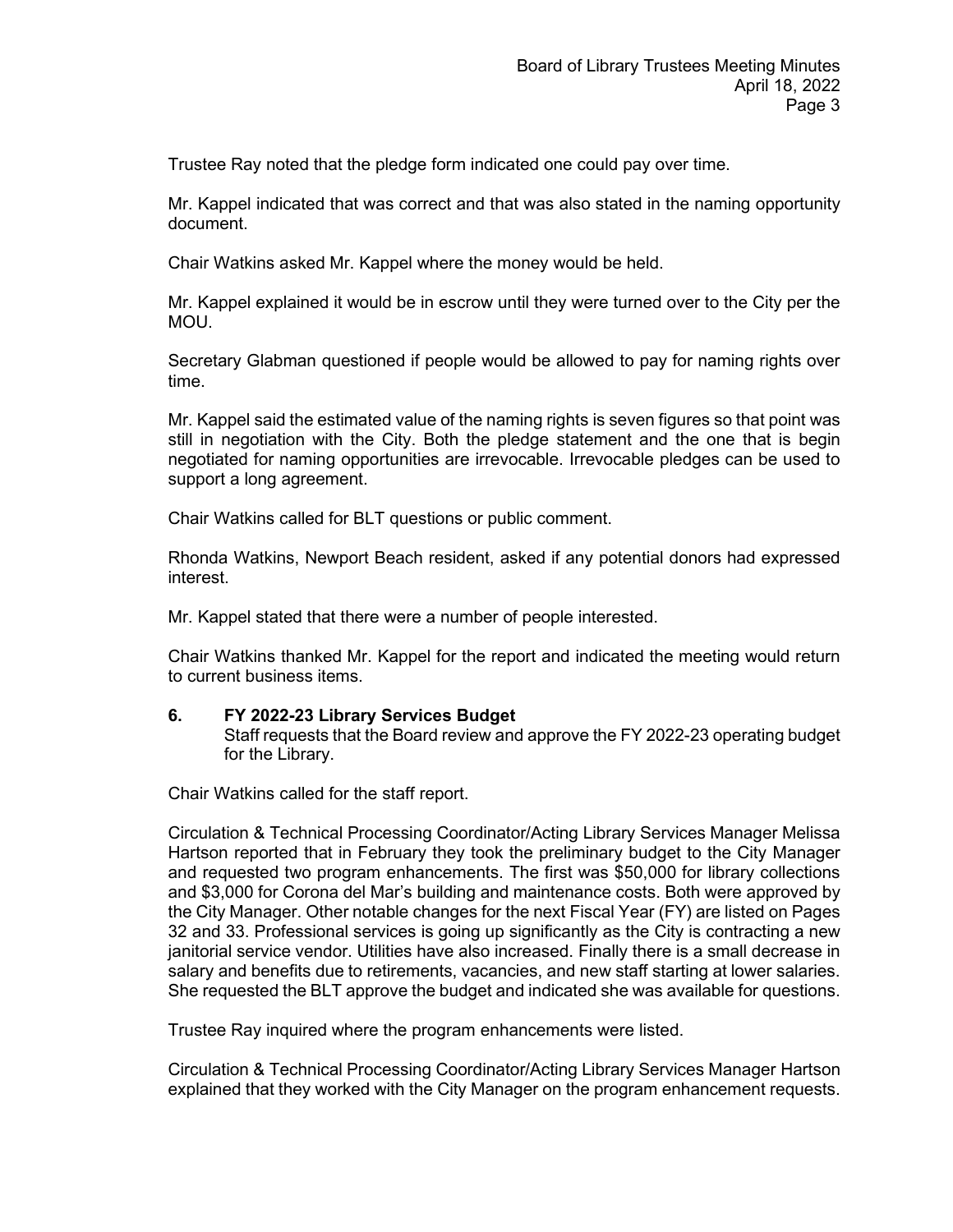Trustee Ray noted that the pledge form indicated one could pay over time.

Mr. Kappel indicated that was correct and that was also stated in the naming opportunity document.

Chair Watkins asked Mr. Kappel where the money would be held.

Mr. Kappel explained it would be in escrow until they were turned over to the City per the MOU.

Secretary Glabman questioned if people would be allowed to pay for naming rights over time.

Mr. Kappel said the estimated value of the naming rights is seven figures so that point was still in negotiation with the City. Both the pledge statement and the one that is begin negotiated for naming opportunities are irrevocable. Irrevocable pledges can be used to support a long agreement.

Chair Watkins called for BLT questions or public comment.

Rhonda Watkins, Newport Beach resident, asked if any potential donors had expressed interest.

Mr. Kappel stated that there were a number of people interested.

Chair Watkins thanked Mr. Kappel for the report and indicated the meeting would return to current business items.

#### **6. FY 2022-23 Library Services Budget**

Staff requests that the Board review and approve the FY 2022-23 operating budget for the Library.

Chair Watkins called for the staff report.

Circulation & Technical Processing Coordinator/Acting Library Services Manager Melissa Hartson reported that in February they took the preliminary budget to the City Manager and requested two program enhancements. The first was \$50,000 for library collections and \$3,000 for Corona del Mar's building and maintenance costs. Both were approved by the City Manager. Other notable changes for the next Fiscal Year (FY) are listed on Pages 32 and 33. Professional services is going up significantly as the City is contracting a new janitorial service vendor. Utilities have also increased. Finally there is a small decrease in salary and benefits due to retirements, vacancies, and new staff starting at lower salaries. She requested the BLT approve the budget and indicated she was available for questions.

Trustee Ray inquired where the program enhancements were listed.

Circulation & Technical Processing Coordinator/Acting Library Services Manager Hartson explained that they worked with the City Manager on the program enhancement requests.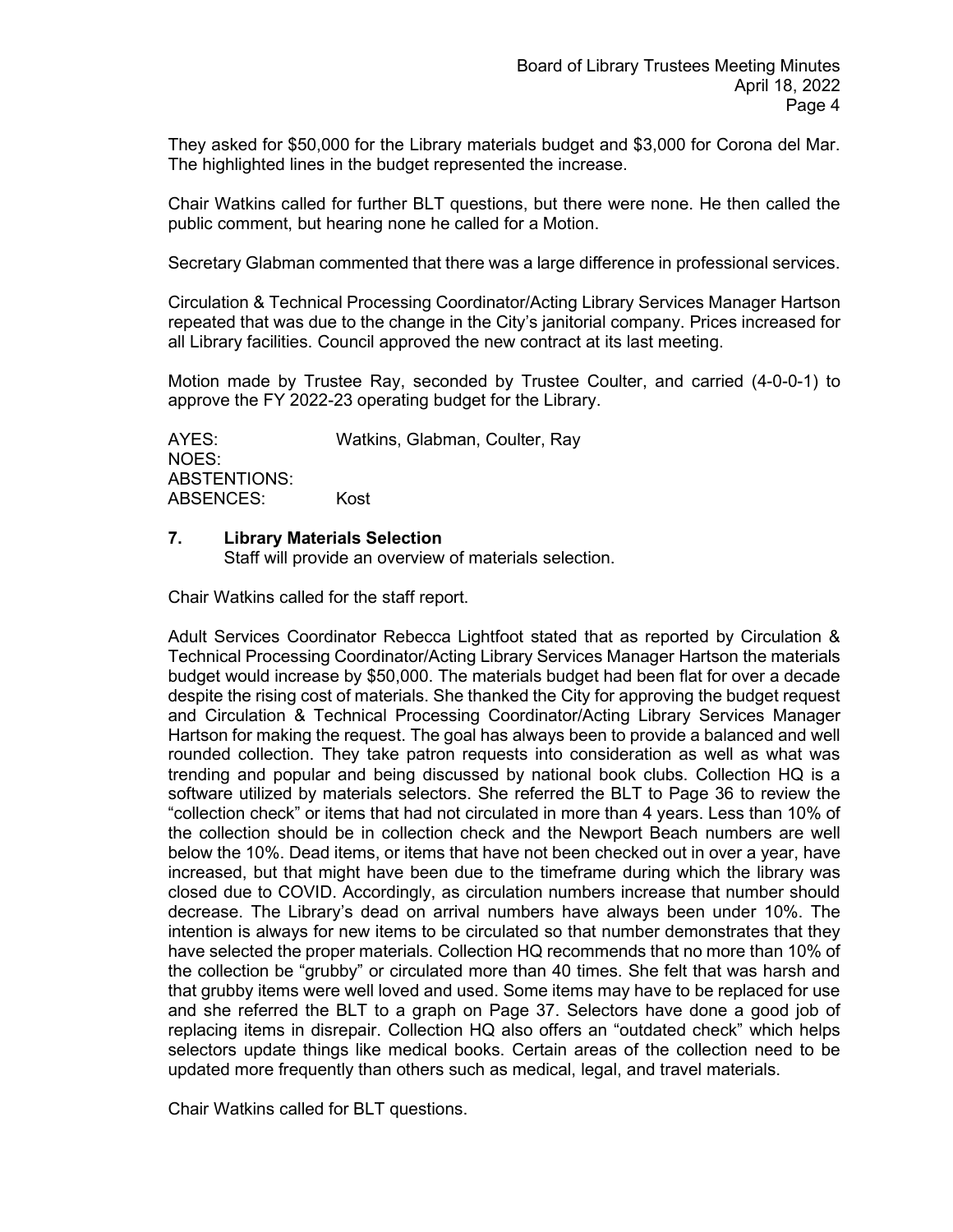They asked for \$50,000 for the Library materials budget and \$3,000 for Corona del Mar. The highlighted lines in the budget represented the increase.

Chair Watkins called for further BLT questions, but there were none. He then called the public comment, but hearing none he called for a Motion.

Secretary Glabman commented that there was a large difference in professional services.

Circulation & Technical Processing Coordinator/Acting Library Services Manager Hartson repeated that was due to the change in the City's janitorial company. Prices increased for all Library facilities. Council approved the new contract at its last meeting.

Motion made by Trustee Ray, seconded by Trustee Coulter, and carried (4-0-0-1) to approve the FY 2022-23 operating budget for the Library.

AYES: Watkins, Glabman, Coulter, Ray NOES: ABSTENTIONS: ABSENCES: Kost

#### **7. Library Materials Selection**

Staff will provide an overview of materials selection.

Chair Watkins called for the staff report.

Adult Services Coordinator Rebecca Lightfoot stated that as reported by Circulation & Technical Processing Coordinator/Acting Library Services Manager Hartson the materials budget would increase by \$50,000. The materials budget had been flat for over a decade despite the rising cost of materials. She thanked the City for approving the budget request and Circulation & Technical Processing Coordinator/Acting Library Services Manager Hartson for making the request. The goal has always been to provide a balanced and well rounded collection. They take patron requests into consideration as well as what was trending and popular and being discussed by national book clubs. Collection HQ is a software utilized by materials selectors. She referred the BLT to Page 36 to review the "collection check" or items that had not circulated in more than 4 years. Less than 10% of the collection should be in collection check and the Newport Beach numbers are well below the 10%. Dead items, or items that have not been checked out in over a year, have increased, but that might have been due to the timeframe during which the library was closed due to COVID. Accordingly, as circulation numbers increase that number should decrease. The Library's dead on arrival numbers have always been under 10%. The intention is always for new items to be circulated so that number demonstrates that they have selected the proper materials. Collection HQ recommends that no more than 10% of the collection be "grubby" or circulated more than 40 times. She felt that was harsh and that grubby items were well loved and used. Some items may have to be replaced for use and she referred the BLT to a graph on Page 37. Selectors have done a good job of replacing items in disrepair. Collection HQ also offers an "outdated check" which helps selectors update things like medical books. Certain areas of the collection need to be updated more frequently than others such as medical, legal, and travel materials.

Chair Watkins called for BLT questions.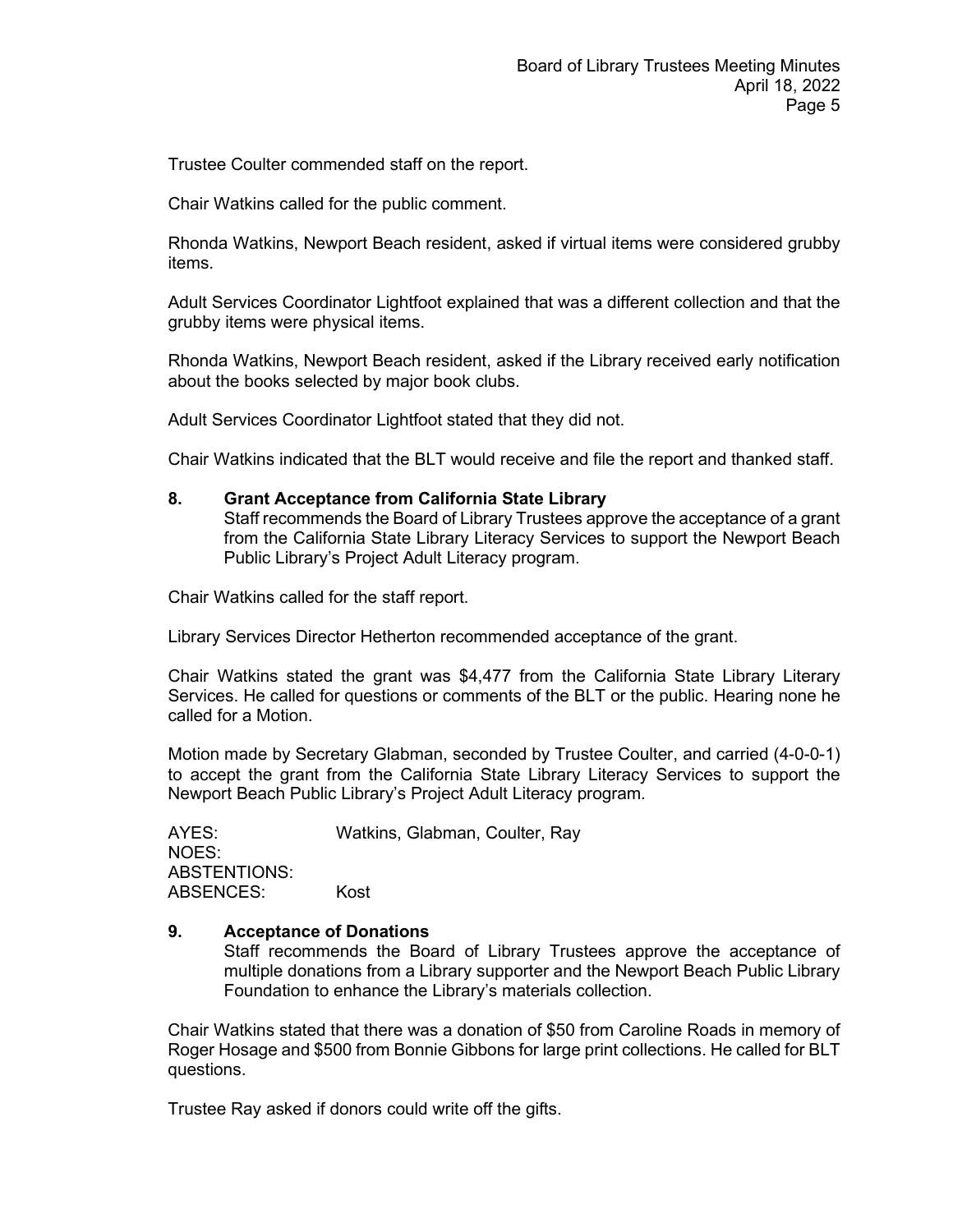Trustee Coulter commended staff on the report.

Chair Watkins called for the public comment.

Rhonda Watkins, Newport Beach resident, asked if virtual items were considered grubby items.

Adult Services Coordinator Lightfoot explained that was a different collection and that the grubby items were physical items.

Rhonda Watkins, Newport Beach resident, asked if the Library received early notification about the books selected by major book clubs.

Adult Services Coordinator Lightfoot stated that they did not.

Chair Watkins indicated that the BLT would receive and file the report and thanked staff.

#### **8. Grant Acceptance from California State Library**

Staff recommends the Board of Library Trustees approve the acceptance of a grant from the California State Library Literacy Services to support the Newport Beach Public Library's Project Adult Literacy program.

Chair Watkins called for the staff report.

Library Services Director Hetherton recommended acceptance of the grant.

Chair Watkins stated the grant was \$4,477 from the California State Library Literary Services. He called for questions or comments of the BLT or the public. Hearing none he called for a Motion.

Motion made by Secretary Glabman, seconded by Trustee Coulter, and carried (4-0-0-1) to accept the grant from the California State Library Literacy Services to support the Newport Beach Public Library's Project Adult Literacy program.

AYES: Watkins, Glabman, Coulter, Ray NOES: ABSTENTIONS: ABSENCES: Kost

#### **9. Acceptance of Donations**

Staff recommends the Board of Library Trustees approve the acceptance of multiple donations from a Library supporter and the Newport Beach Public Library Foundation to enhance the Library's materials collection.

Chair Watkins stated that there was a donation of \$50 from Caroline Roads in memory of Roger Hosage and \$500 from Bonnie Gibbons for large print collections. He called for BLT questions.

Trustee Ray asked if donors could write off the gifts.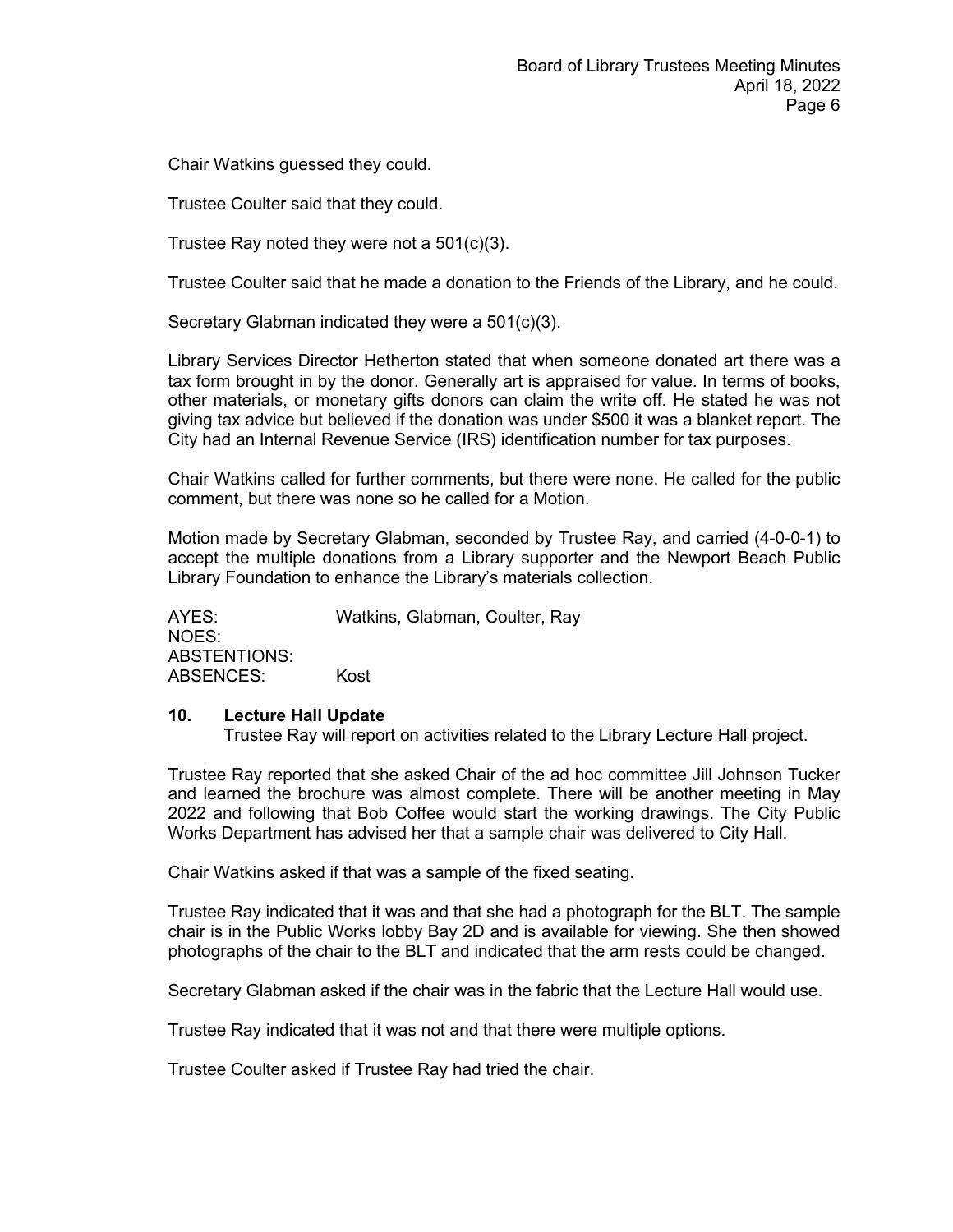Chair Watkins guessed they could.

Trustee Coulter said that they could.

Trustee Ray noted they were not a 501(c)(3).

Trustee Coulter said that he made a donation to the Friends of the Library, and he could.

Secretary Glabman indicated they were a 501(c)(3).

Library Services Director Hetherton stated that when someone donated art there was a tax form brought in by the donor. Generally art is appraised for value. In terms of books, other materials, or monetary gifts donors can claim the write off. He stated he was not giving tax advice but believed if the donation was under \$500 it was a blanket report. The City had an Internal Revenue Service (IRS) identification number for tax purposes.

Chair Watkins called for further comments, but there were none. He called for the public comment, but there was none so he called for a Motion.

Motion made by Secretary Glabman, seconded by Trustee Ray, and carried (4-0-0-1) to accept the multiple donations from a Library supporter and the Newport Beach Public Library Foundation to enhance the Library's materials collection.

AYES: Watkins, Glabman, Coulter, Ray NOES: ABSTENTIONS: ABSENCES: Kost

#### **10. Lecture Hall Update**

Trustee Ray will report on activities related to the Library Lecture Hall project.

Trustee Ray reported that she asked Chair of the ad hoc committee Jill Johnson Tucker and learned the brochure was almost complete. There will be another meeting in May 2022 and following that Bob Coffee would start the working drawings. The City Public Works Department has advised her that a sample chair was delivered to City Hall.

Chair Watkins asked if that was a sample of the fixed seating.

Trustee Ray indicated that it was and that she had a photograph for the BLT. The sample chair is in the Public Works lobby Bay 2D and is available for viewing. She then showed photographs of the chair to the BLT and indicated that the arm rests could be changed.

Secretary Glabman asked if the chair was in the fabric that the Lecture Hall would use.

Trustee Ray indicated that it was not and that there were multiple options.

Trustee Coulter asked if Trustee Ray had tried the chair.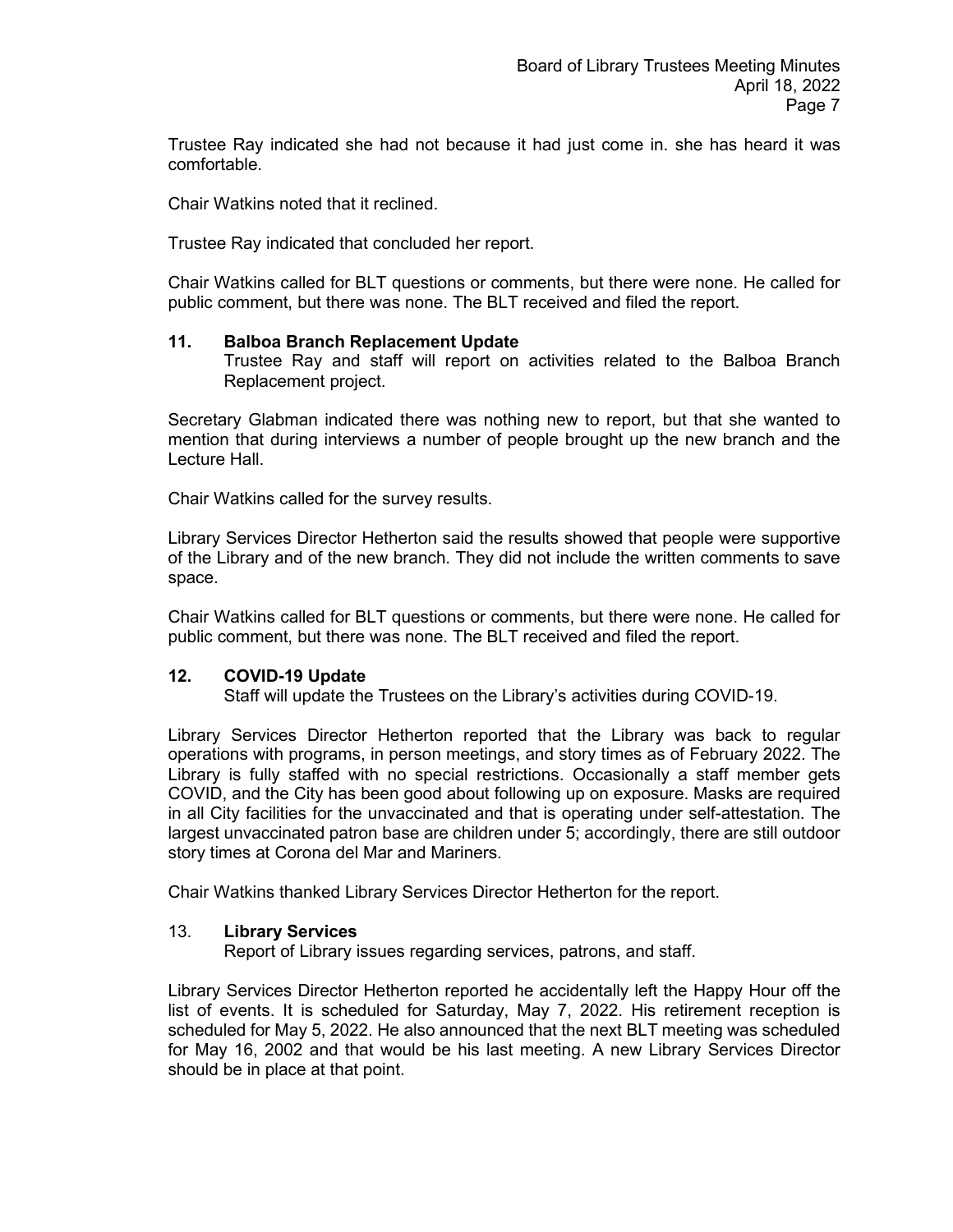Trustee Ray indicated she had not because it had just come in. she has heard it was comfortable.

Chair Watkins noted that it reclined.

Trustee Ray indicated that concluded her report.

Chair Watkins called for BLT questions or comments, but there were none. He called for public comment, but there was none. The BLT received and filed the report.

### **11. Balboa Branch Replacement Update**

Trustee Ray and staff will report on activities related to the Balboa Branch Replacement project.

Secretary Glabman indicated there was nothing new to report, but that she wanted to mention that during interviews a number of people brought up the new branch and the Lecture Hall.

Chair Watkins called for the survey results.

Library Services Director Hetherton said the results showed that people were supportive of the Library and of the new branch. They did not include the written comments to save space.

Chair Watkins called for BLT questions or comments, but there were none. He called for public comment, but there was none. The BLT received and filed the report.

## **12. COVID-19 Update**

Staff will update the Trustees on the Library's activities during COVID-19.

Library Services Director Hetherton reported that the Library was back to regular operations with programs, in person meetings, and story times as of February 2022. The Library is fully staffed with no special restrictions. Occasionally a staff member gets COVID, and the City has been good about following up on exposure. Masks are required in all City facilities for the unvaccinated and that is operating under self-attestation. The largest unvaccinated patron base are children under 5; accordingly, there are still outdoor story times at Corona del Mar and Mariners.

Chair Watkins thanked Library Services Director Hetherton for the report.

## 13. **Library Services**

Report of Library issues regarding services, patrons, and staff.

Library Services Director Hetherton reported he accidentally left the Happy Hour off the list of events. It is scheduled for Saturday, May 7, 2022. His retirement reception is scheduled for May 5, 2022. He also announced that the next BLT meeting was scheduled for May 16, 2002 and that would be his last meeting. A new Library Services Director should be in place at that point.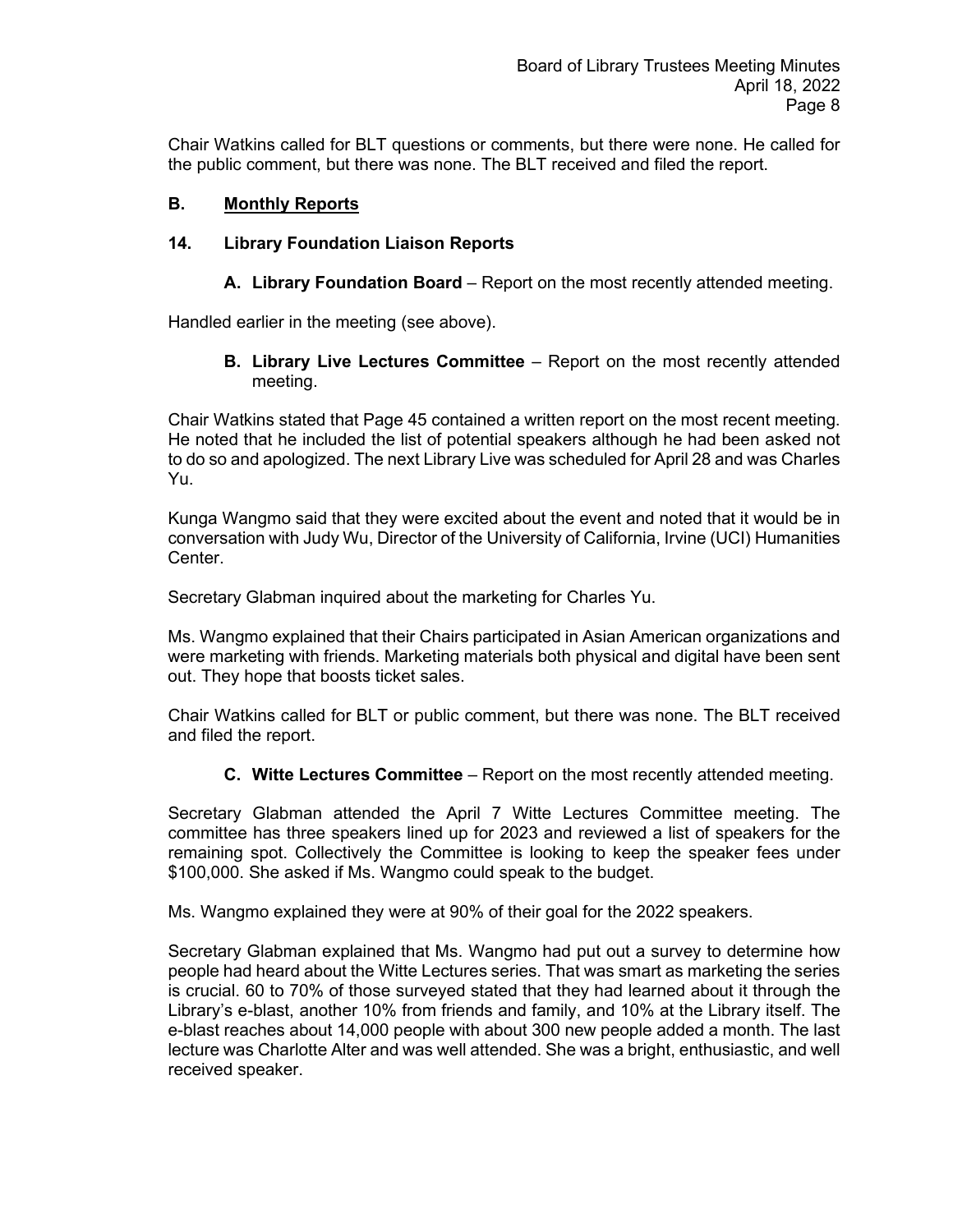Chair Watkins called for BLT questions or comments, but there were none. He called for the public comment, but there was none. The BLT received and filed the report.

# **B. Monthly Reports**

# **14. Library Foundation Liaison Reports**

**A. Library Foundation Board** – Report on the most recently attended meeting.

Handled earlier in the meeting (see above).

**B. Library Live Lectures Committee** – Report on the most recently attended meeting.

Chair Watkins stated that Page 45 contained a written report on the most recent meeting. He noted that he included the list of potential speakers although he had been asked not to do so and apologized. The next Library Live was scheduled for April 28 and was Charles Yu.

Kunga Wangmo said that they were excited about the event and noted that it would be in conversation with Judy Wu, Director of the University of California, Irvine (UCI) Humanities Center.

Secretary Glabman inquired about the marketing for Charles Yu.

Ms. Wangmo explained that their Chairs participated in Asian American organizations and were marketing with friends. Marketing materials both physical and digital have been sent out. They hope that boosts ticket sales.

Chair Watkins called for BLT or public comment, but there was none. The BLT received and filed the report.

**C. Witte Lectures Committee** – Report on the most recently attended meeting.

Secretary Glabman attended the April 7 Witte Lectures Committee meeting. The committee has three speakers lined up for 2023 and reviewed a list of speakers for the remaining spot. Collectively the Committee is looking to keep the speaker fees under \$100,000. She asked if Ms. Wangmo could speak to the budget.

Ms. Wangmo explained they were at 90% of their goal for the 2022 speakers.

Secretary Glabman explained that Ms. Wangmo had put out a survey to determine how people had heard about the Witte Lectures series. That was smart as marketing the series is crucial. 60 to 70% of those surveyed stated that they had learned about it through the Library's e-blast, another 10% from friends and family, and 10% at the Library itself. The e-blast reaches about 14,000 people with about 300 new people added a month. The last lecture was Charlotte Alter and was well attended. She was a bright, enthusiastic, and well received speaker.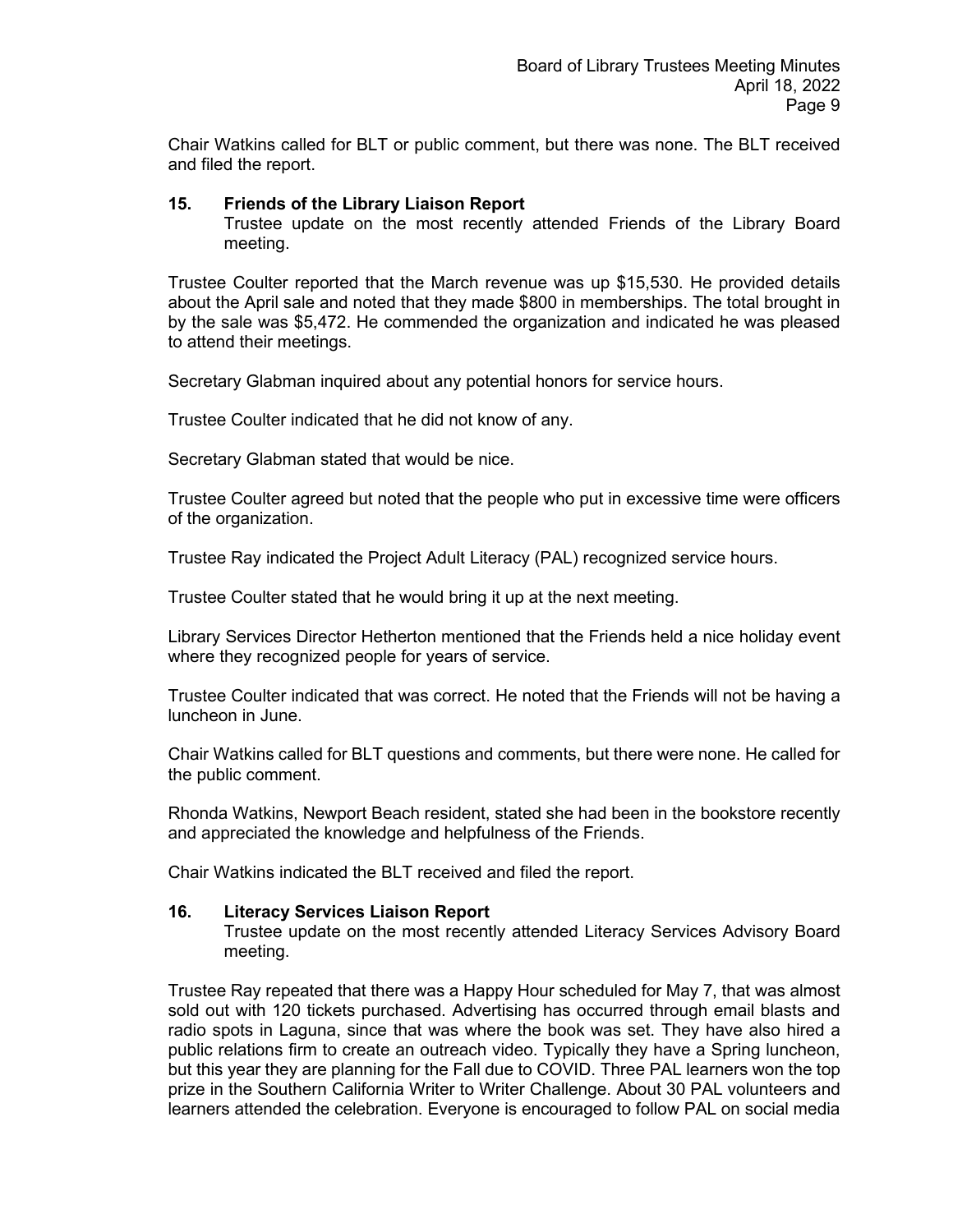Chair Watkins called for BLT or public comment, but there was none. The BLT received and filed the report.

#### **15. Friends of the Library Liaison Report**

Trustee update on the most recently attended Friends of the Library Board meeting.

Trustee Coulter reported that the March revenue was up \$15,530. He provided details about the April sale and noted that they made \$800 in memberships. The total brought in by the sale was \$5,472. He commended the organization and indicated he was pleased to attend their meetings.

Secretary Glabman inquired about any potential honors for service hours.

Trustee Coulter indicated that he did not know of any.

Secretary Glabman stated that would be nice.

Trustee Coulter agreed but noted that the people who put in excessive time were officers of the organization.

Trustee Ray indicated the Project Adult Literacy (PAL) recognized service hours.

Trustee Coulter stated that he would bring it up at the next meeting.

Library Services Director Hetherton mentioned that the Friends held a nice holiday event where they recognized people for years of service.

Trustee Coulter indicated that was correct. He noted that the Friends will not be having a luncheon in June.

Chair Watkins called for BLT questions and comments, but there were none. He called for the public comment.

Rhonda Watkins, Newport Beach resident, stated she had been in the bookstore recently and appreciated the knowledge and helpfulness of the Friends.

Chair Watkins indicated the BLT received and filed the report.

#### **16. Literacy Services Liaison Report**

Trustee update on the most recently attended Literacy Services Advisory Board meeting.

Trustee Ray repeated that there was a Happy Hour scheduled for May 7, that was almost sold out with 120 tickets purchased. Advertising has occurred through email blasts and radio spots in Laguna, since that was where the book was set. They have also hired a public relations firm to create an outreach video. Typically they have a Spring luncheon, but this year they are planning for the Fall due to COVID. Three PAL learners won the top prize in the Southern California Writer to Writer Challenge. About 30 PAL volunteers and learners attended the celebration. Everyone is encouraged to follow PAL on social media